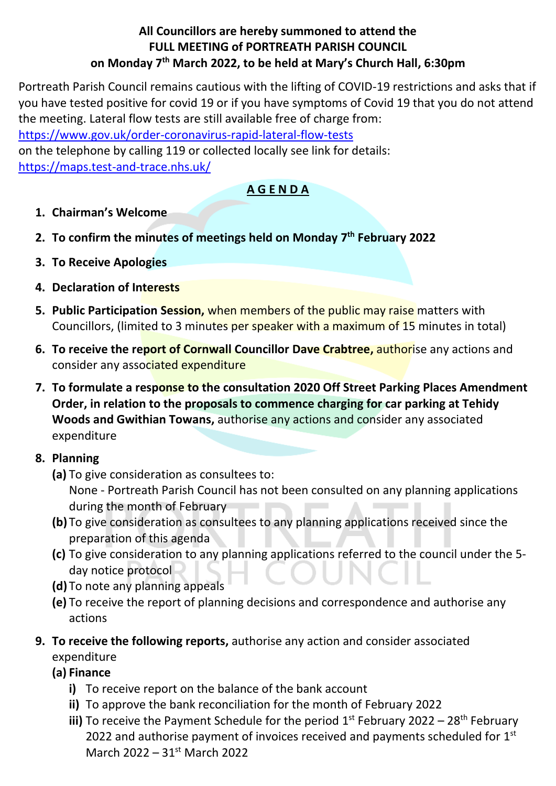## **All Councillors are hereby summoned to attend the FULL MEETING of PORTREATH PARISH COUNCIL on Monday 7 th March 2022, to be held at Mary's Church Hall, 6:30pm**

Portreath Parish Council remains cautious with the lifting of COVID-19 restrictions and asks that if you have tested positive for covid 19 or if you have symptoms of Covid 19 that you do not attend the meeting. Lateral flow tests are still available free of charge from:

<https://www.gov.uk/order-coronavirus-rapid-lateral-flow-tests>

on the telephone by calling 119 or collected locally see link for details: <https://maps.test-and-trace.nhs.uk/>

## **A G E N D A**

- **1. Chairman's Welcome**
- **2. To confirm the minutes of meetings held on Monday 7 th February 2022**
- **3. To Receive Apologies**
- **4. Declaration of Interests**
- **5. Public Participation Session,** when members of the public may raise matters with Councillors, (limited to 3 minutes per speaker with a maximum of 15 minutes in total)
- **6. To receive the report of Cornwall Councillor Dave Crabtree,** authorise any actions and consider any associated expenditure
- **7. To formulate a response to the consultation 2020 Off Street Parking Places Amendment Order, in relation to the proposals to commence charging for car parking at Tehidy Woods and Gwithian Towans,** authorise any actions and consider any associated expenditure

## **8. Planning**

- **(a)** To give consideration as consultees to: None - Portreath Parish Council has not been consulted on any planning applications during the month of February
- **(b)** To give consideration as consultees to any planning applications received since the preparation of this agenda
- **(c)** To give consideration to any planning applications referred to the council under the 5 day notice protocol
- **(d)** To note any planning appeals
- **(e)** To receive the report of planning decisions and correspondence and authorise any actions
- **9. To receive the following reports,** authorise any action and consider associated expenditure
	- **(a) Finance**
		- **i)** To receive report on the balance of the bank account
		- **ii)** To approve the bank reconciliation for the month of February 2022
		- iii) To receive the Payment Schedule for the period 1<sup>st</sup> February 2022 28<sup>th</sup> February 2022 and authorise payment of invoices received and payments scheduled for  $1<sup>st</sup>$ March 2022 – 31st March 2022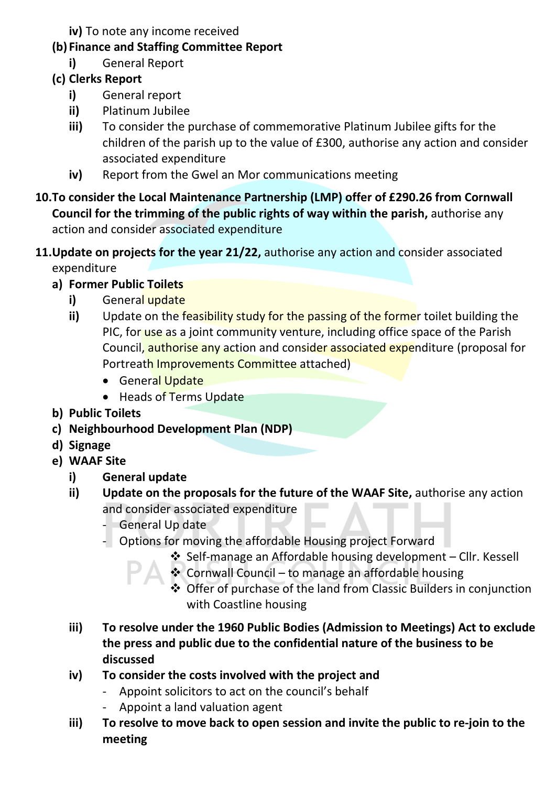- **iv)** To note any income received
- **(b) Finance and Staffing Committee Report** 
	- **i)** General Report
- **(c) Clerks Report**
	- **i)** General report
	- **ii)** Platinum Jubilee
	- **iii)** To consider the purchase of commemorative Platinum Jubilee gifts for the children of the parish up to the value of £300, authorise any action and consider associated expenditure
	- **iv)** Report from the Gwel an Mor communications meeting
- **10.To consider the Local Maintenance Partnership (LMP) offer of £290.26 from Cornwall Council for the trimming of the public rights of way within the parish,** authorise any action and consider associated expenditure
- **11.Update on projects for the year 21/22,** authorise any action and consider associated expenditure
	- **a) Former Public Toilets** 
		- **i)** General update
		- **ii)** Update on the feasibility study for the passing of the former toilet building the PIC, for use as a joint community venture, including office space of the Parish Council, authorise any action and consider associated expenditure (proposal for Portreath Improvements Committee attached)
			- General Update
			- Heads of Terms Update
	- **b) Public Toilets**
	- **c) Neighbourhood Development Plan (NDP)**
	- **d) Signage**
	- **e) WAAF Site**
		- **i) General update**
		- **ii) Update on the proposals for the future of the WAAF Site,** authorise any action and consider associated expenditure
			- General Up date
			- Options for moving the affordable Housing project Forward
				- ❖ Self-manage an Affordable housing development Cllr. Kessell
				- ❖ Cornwall Council to manage an affordable housing
					- ❖ Offer of purchase of the land from Classic Builders in conjunction with Coastline housing
		- **iii) To resolve under the 1960 Public Bodies (Admission to Meetings) Act to exclude the press and public due to the confidential nature of the business to be discussed**
		- **iv) To consider the costs involved with the project and** 
			- Appoint solicitors to act on the council's behalf
			- Appoint a land valuation agent
		- **iii) To resolve to move back to open session and invite the public to re-join to the meeting**